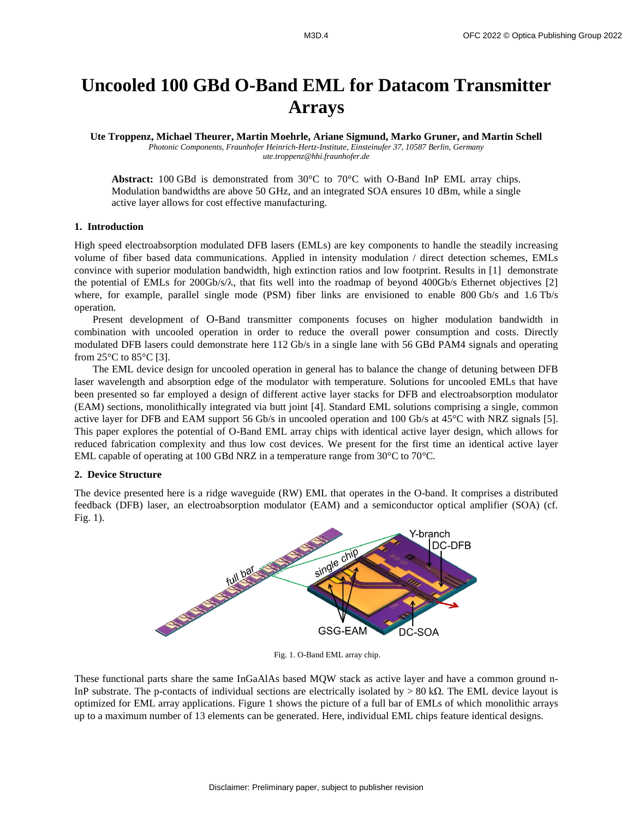# **Uncooled 100 GBd O-Band EML for Datacom Transmitter Arrays**

**Ute Troppenz, Michael Theurer, Martin Moehrle, Ariane Sigmund, Marko Gruner, and Martin Schell** *Photonic Components, Fraunhofer Heinrich-Hertz-Institute, Einsteinufer 37, 10587 Berlin, Germany ute.troppenz@hhi.fraunhofer.de*

**Abstract:** 100 GBd is demonstrated from 30°C to 70°C with O-Band InP EML array chips. Modulation bandwidths are above 50 GHz, and an integrated SOA ensures 10 dBm, while a single active layer allows for cost effective manufacturing.

## **1. Introduction**

High speed electroabsorption modulated DFB lasers (EMLs) are key components to handle the steadily increasing volume of fiber based data communications. Applied in intensity modulation / direct detection schemes, EMLs convince with superior modulation bandwidth, high extinction ratios and low footprint. Results in [1] demonstrate the potential of EMLs for 200Gb/s/ $\lambda$ , that fits well into the roadmap of beyond 400Gb/s Ethernet objectives [2] where, for example, parallel single mode (PSM) fiber links are envisioned to enable 800 Gb/s and 1.6 Tb/s operation.

Present development of O-Band transmitter components focuses on higher modulation bandwidth in combination with uncooled operation in order to reduce the overall power consumption and costs. Directly modulated DFB lasers could demonstrate here 112 Gb/s in a single lane with 56 GBd PAM4 signals and operating from  $25^{\circ}$ C to  $85^{\circ}$ C [3].

The EML device design for uncooled operation in general has to balance the change of detuning between DFB laser wavelength and absorption edge of the modulator with temperature. Solutions for uncooled EMLs that have been presented so far employed a design of different active layer stacks for DFB and electroabsorption modulator (EAM) sections, monolithically integrated via butt joint [4]. Standard EML solutions comprising a single, common active layer for DFB and EAM support 56 Gb/s in uncooled operation and 100 Gb/s at 45°C with NRZ signals [5]. This paper explores the potential of O-Band EML array chips with identical active layer design, which allows for reduced fabrication complexity and thus low cost devices. We present for the first time an identical active layer EML capable of operating at 100 GBd NRZ in a temperature range from 30°C to 70°C.

## **2. Device Structure**

The device presented here is a ridge waveguide (RW) EML that operates in the O-band. It comprises a distributed feedback (DFB) laser, an electroabsorption modulator (EAM) and a semiconductor optical amplifier (SOA) (cf. Fig. 1).



Fig. 1. O-Band EML array chip.

These functional parts share the same InGaAlAs based MQW stack as active layer and have a common ground n-InP substrate. The p-contacts of individual sections are electrically isolated by  $> 80 \text{ k}\Omega$ . The EML device layout is optimized for EML array applications. Figure 1 shows the picture of a full bar of EMLs of which monolithic arrays up to a maximum number of 13 elements can be generated. Here, individual EML chips feature identical designs.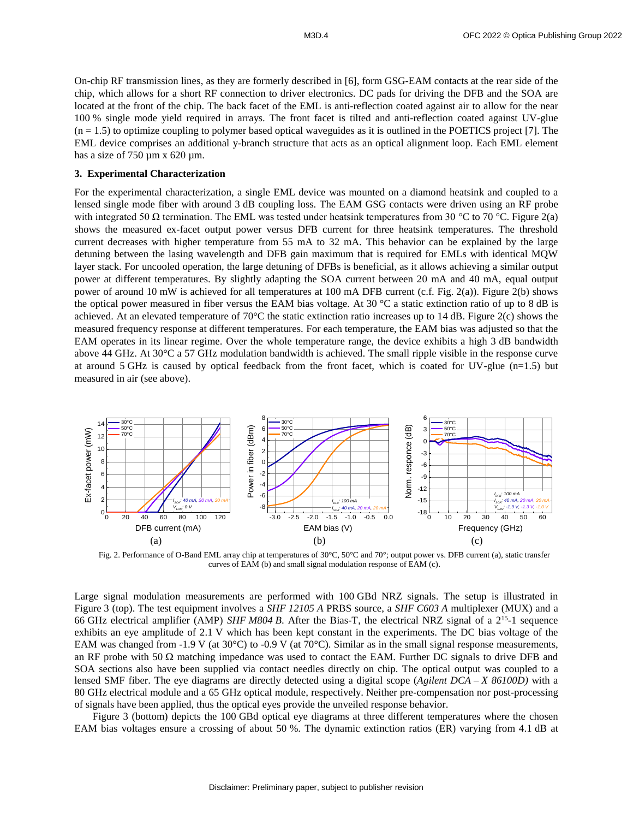On-chip RF transmission lines, as they are formerly described in [6], form GSG-EAM contacts at the rear side of the chip, which allows for a short RF connection to driver electronics. DC pads for driving the DFB and the SOA are located at the front of the chip. The back facet of the EML is anti-reflection coated against air to allow for the near 100 % single mode yield required in arrays. The front facet is tilted and anti-reflection coated against UV-glue  $(n = 1.5)$  to optimize coupling to polymer based optical waveguides as it is outlined in the POETICS project [7]. The EML device comprises an additional y-branch structure that acts as an optical alignment loop. Each EML element has a size of  $750 \mu m \times 620 \mu m$ .

#### **3. Experimental Characterization**

For the experimental characterization, a single EML device was mounted on a diamond heatsink and coupled to a lensed single mode fiber with around 3 dB coupling loss. The EAM GSG contacts were driven using an RF probe with integrated 50  $\Omega$  termination. The EML was tested under heatsink temperatures from 30 °C to 70 °C. Figure 2(a) shows the measured ex-facet output power versus DFB current for three heatsink temperatures. The threshold current decreases with higher temperature from 55 mA to 32 mA. This behavior can be explained by the large detuning between the lasing wavelength and DFB gain maximum that is required for EMLs with identical MQW layer stack. For uncooled operation, the large detuning of DFBs is beneficial, as it allows achieving a similar output power at different temperatures. By slightly adapting the SOA current between 20 mA and 40 mA, equal output power of around 10 mW is achieved for all temperatures at 100 mA DFB current (c.f. Fig. 2(a)). Figure 2(b) shows the optical power measured in fiber versus the EAM bias voltage. At 30 °C a static extinction ratio of up to 8 dB is achieved. At an elevated temperature of 70°C the static extinction ratio increases up to 14 dB. Figure 2(c) shows the measured frequency response at different temperatures. For each temperature, the EAM bias was adjusted so that the EAM operates in its linear regime. Over the whole temperature range, the device exhibits a high 3 dB bandwidth above 44 GHz. At 30°C a 57 GHz modulation bandwidth is achieved. The small ripple visible in the response curve at around 5 GHz is caused by optical feedback from the front facet, which is coated for UV-glue (n=1.5) but measured in air (see above).



Fig. 2. Performance of O-Band EML array chip at temperatures of 30°C, 50°C and 70°; output power vs. DFB current (a), static transfer curves of EAM (b) and small signal modulation response of EAM (c).

Large signal modulation measurements are performed with 100 GBd NRZ signals. The setup is illustrated in Figure 3 (top). The test equipment involves a *SHF 12105 A* PRBS source, a *SHF C603 A* multiplexer (MUX) and a 66 GHz electrical amplifier (AMP) *SHF M804 B*. After the Bias-T, the electrical NRZ signal of a 2<sup>15</sup>-1 sequence exhibits an eye amplitude of 2.1 V which has been kept constant in the experiments. The DC bias voltage of the EAM was changed from -1.9 V (at  $30^{\circ}$ C) to -0.9 V (at  $70^{\circ}$ C). Similar as in the small signal response measurements, an RF probe with 50  $\Omega$  matching impedance was used to contact the EAM. Further DC signals to drive DFB and SOA sections also have been supplied via contact needles directly on chip. The optical output was coupled to a lensed SMF fiber. The eye diagrams are directly detected using a digital scope (*Agilent DCA – X 86100D)* with a 80 GHz electrical module and a 65 GHz optical module, respectively. Neither pre-compensation nor post-processing of signals have been applied, thus the optical eyes provide the unveiled response behavior.

Figure 3 (bottom) depicts the 100 GBd optical eye diagrams at three different temperatures where the chosen EAM bias voltages ensure a crossing of about 50 %. The dynamic extinction ratios (ER) varying from 4.1 dB at